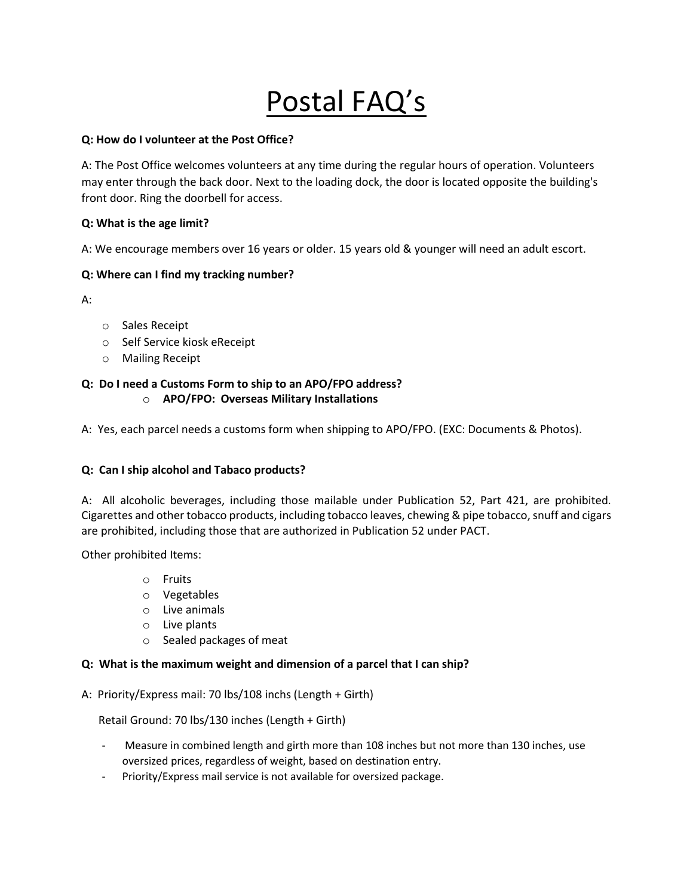# Postal FAQ's

## **Q: How do I volunteer at the Post Office?**

A: The Post Office welcomes volunteers at any time during the regular hours of operation. Volunteers may enter through the back door. Next to the loading dock, the door is located opposite the building's front door. Ring the doorbell for access.

## **Q: What is the age limit?**

A: We encourage members over 16 years or older. 15 years old & younger will need an adult escort.

## **Q: Where can I find my tracking number?**

A:

- o Sales Receipt
- o Self Service kiosk eReceipt
- o Mailing Receipt

#### **Q: Do I need a Customs Form to ship to an APO/FPO address?** o **APO/FPO: Overseas Military Installations**

A: Yes, each parcel needs a customs form when shipping to APO/FPO. (EXC: Documents & Photos).

## **Q: Can I ship alcohol and Tabaco products?**

A: All alcoholic beverages, including those mailable under Publication 52, Part 421, are prohibited. Cigarettes and other tobacco products, including tobacco leaves, chewing & pipe tobacco, snuff and cigars are prohibited, including those that are authorized in Publication 52 under PACT.

Other prohibited Items:

- o Fruits
- o Vegetables
- o Live animals
- o Live plants
- o Sealed packages of meat

## **Q: What is the maximum weight and dimension of a parcel that I can ship?**

A: Priority/Express mail: 70 lbs/108 inchs (Length + Girth)

Retail Ground: 70 lbs/130 inches (Length + Girth)

- Measure in combined length and girth more than 108 inches but not more than 130 inches, use oversized prices, regardless of weight, based on destination entry.
- Priority/Express mail service is not available for oversized package.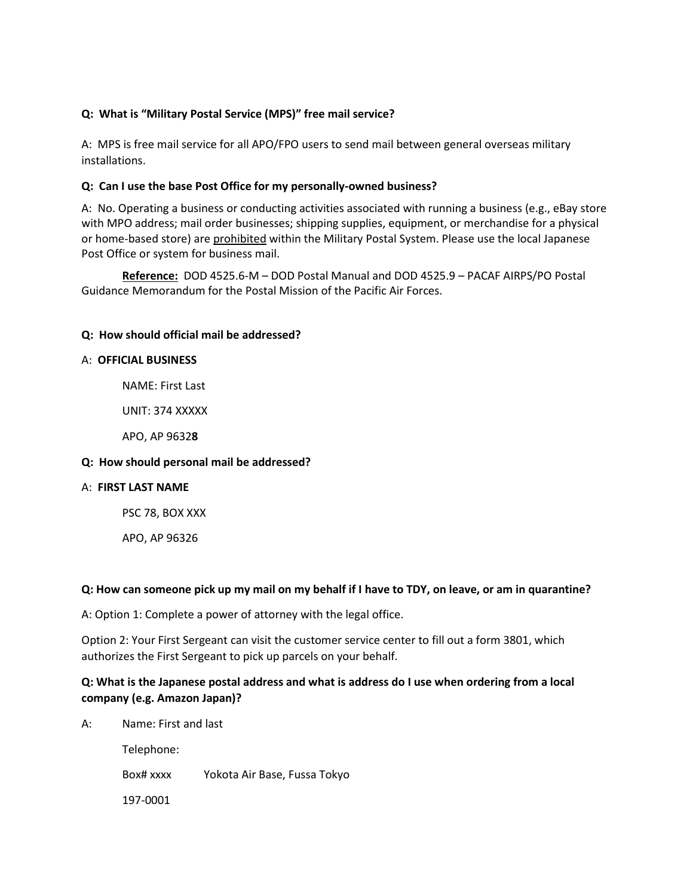## **Q: What is "Military Postal Service (MPS)" free mail service?**

A: MPS is free mail service for all APO/FPO users to send mail between general overseas military installations.

## **Q: Can I use the base Post Office for my personally-owned business?**

A:No. Operating a business or conducting activities associated with running a business (e.g., eBay store with MPO address; mail order businesses; shipping supplies, equipment, or merchandise for a physical or home-based store) are prohibited within the Military Postal System. Please use the local Japanese Post Office or system for business mail.

**Reference:** DOD 4525.6-M – DOD Postal Manual and DOD 4525.9 – PACAF AIRPS/PO Postal Guidance Memorandum for the Postal Mission of the Pacific Air Forces.

## **Q: How should official mail be addressed?**

## A: **OFFICIAL BUSINESS**

NAME: First Last

UNIT: 374 XXXXX

APO, AP 9632**8**

## **Q: How should personal mail be addressed?**

## A: **FIRST LAST NAME**

PSC 78, BOX XXX

APO, AP 96326

## **Q: How can someone pick up my mail on my behalf if I have to TDY, on leave, or am in quarantine?**

A: Option 1: Complete a power of attorney with the legal office.

Option 2: Your First Sergeant can visit the customer service center to fill out a form 3801, which authorizes the First Sergeant to pick up parcels on your behalf.

## **Q: What is the Japanese postal address and what is address do I use when ordering from a local company (e.g. Amazon Japan)?**

A: Name: First and last Telephone: Box# xxxx Yokota Air Base, Fussa Tokyo 197-0001